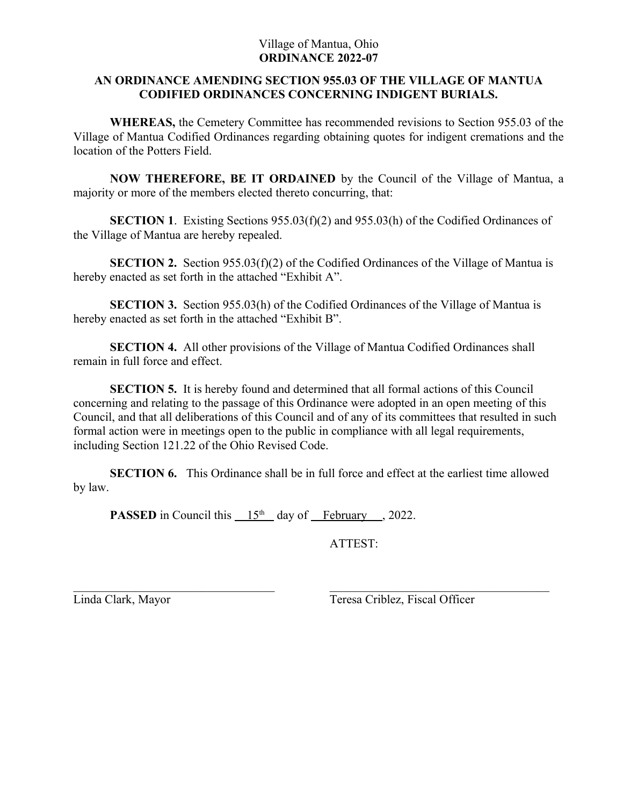## Village of Mantua, Ohio **ORDINANCE 2022-07**

## **AN ORDINANCE AMENDING SECTION 955.03 OF THE VILLAGE OF MANTUA CODIFIED ORDINANCES CONCERNING INDIGENT BURIALS.**

**WHEREAS,** the Cemetery Committee has recommended revisions to Section 955.03 of the Village of Mantua Codified Ordinances regarding obtaining quotes for indigent cremations and the location of the Potters Field.

**NOW THEREFORE, BE IT ORDAINED** by the Council of the Village of Mantua, a majority or more of the members elected thereto concurring, that:

**SECTION 1.** Existing Sections 955.03(f)(2) and 955.03(h) of the Codified Ordinances of the Village of Mantua are hereby repealed.

**SECTION 2.** Section 955.03(f)(2) of the Codified Ordinances of the Village of Mantua is hereby enacted as set forth in the attached "Exhibit A".

**SECTION 3.** Section 955.03(h) of the Codified Ordinances of the Village of Mantua is hereby enacted as set forth in the attached "Exhibit B".

**SECTION 4.** All other provisions of the Village of Mantua Codified Ordinances shall remain in full force and effect.

**SECTION 5.** It is hereby found and determined that all formal actions of this Council concerning and relating to the passage of this Ordinance were adopted in an open meeting of this Council, and that all deliberations of this Council and of any of its committees that resulted in such formal action were in meetings open to the public in compliance with all legal requirements, including Section 121.22 of the Ohio Revised Code.

**SECTION 6.** This Ordinance shall be in full force and effect at the earliest time allowed by law.

**PASSED** in Council this  $15<sup>th</sup>$  day of February , 2022.

ATTEST:

Linda Clark, Mayor Teresa Criblez, Fiscal Officer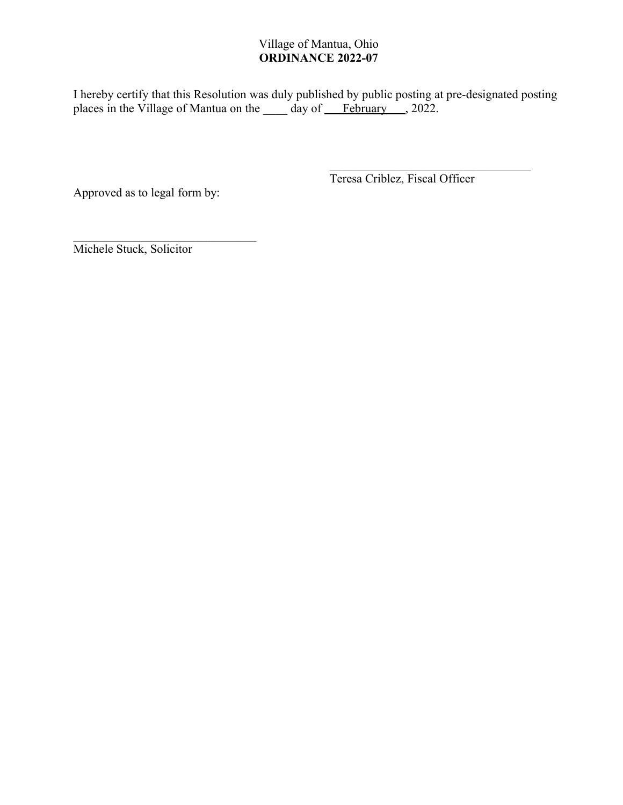# Village of Mantua, Ohio **ORDINANCE 2022-07**

I hereby certify that this Resolution was duly published by public posting at pre-designated posting places in the Village of Mantua on the \_\_\_\_\_ day of February , 2022.

Approved as to legal form by:

Teresa Criblez, Fiscal Officer

Michele Stuck, Solicitor